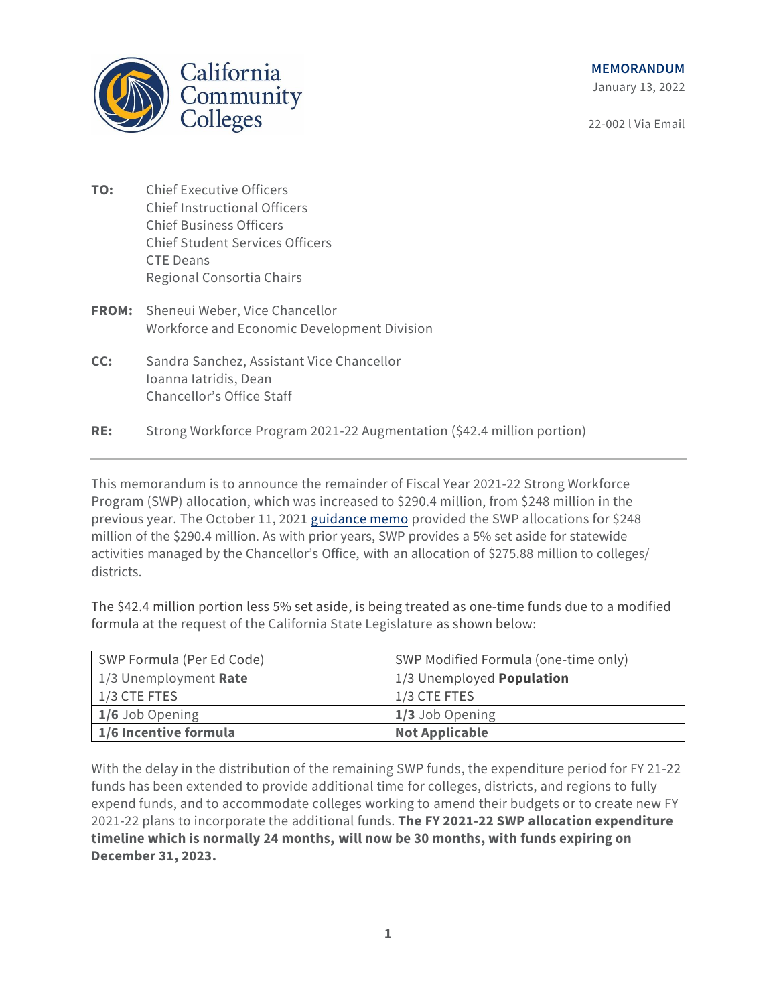

#### **MEMORANDUM**

January 13, 2022

22-002 l Via Email

- **TO:** Chief Executive Officers Chief Instructional Officers Chief Business Officers Chief Student Services Officers CTE Deans Regional Consortia Chairs
- **FROM:** Sheneui Weber, Vice Chancellor Workforce and Economic Development Division
- **CC:** Sandra Sanchez, Assistant Vice Chancellor Ioanna Iatridis, Dean Chancellor's Office Staff
- **RE:** Strong Workforce Program 2021-22 Augmentation (\$42.4 million portion)

This memorandum is to announce the remainder of Fiscal Year 2021-22 Strong Workforce Program (SWP) allocation, which was increased to \$290.4 million, from \$248 million in the previous year. The October 11, 2021 [guidance memo](https://www.cccco.edu/-/media/CCCCO-Website/Files/Workforce-and-Economic-Development/WEDD-Memo/swp-2021-22-swpbaseallocationmemo-107v5-scw-edits-a11y.pdf) provided the SWP allocations for \$248 million of the \$290.4 million. As with prior years, SWP provides a 5% set aside for statewide activities managed by the Chancellor's Office, with an allocation of \$275.88 million to colleges/ districts.

The \$42.4 million portion less 5% set aside, is being treated as one-time funds due to a modified formula at the request of the California State Legislature as shown below:

| SWP Formula (Per Ed Code) | SWP Modified Formula (one-time only) |
|---------------------------|--------------------------------------|
| 1/3 Unemployment Rate     | 1/3 Unemployed Population            |
| 1/3 CTE FTES              | 1/3 CTE FTES                         |
| 1/6 Job Opening           | 1/3 Job Opening                      |
| 1/6 Incentive formula     | <b>Not Applicable</b>                |

With the delay in the distribution of the remaining SWP funds, the expenditure period for FY 21-22 funds has been extended to provide additional time for colleges, districts, and regions to fully expend funds, and to accommodate colleges working to amend their budgets or to create new FY 2021-22 plans to incorporate the additional funds. **The FY 2021-22 SWP allocation expenditure timeline which is normally 24 months, will now be 30 months, with funds expiring on December 31, 2023.**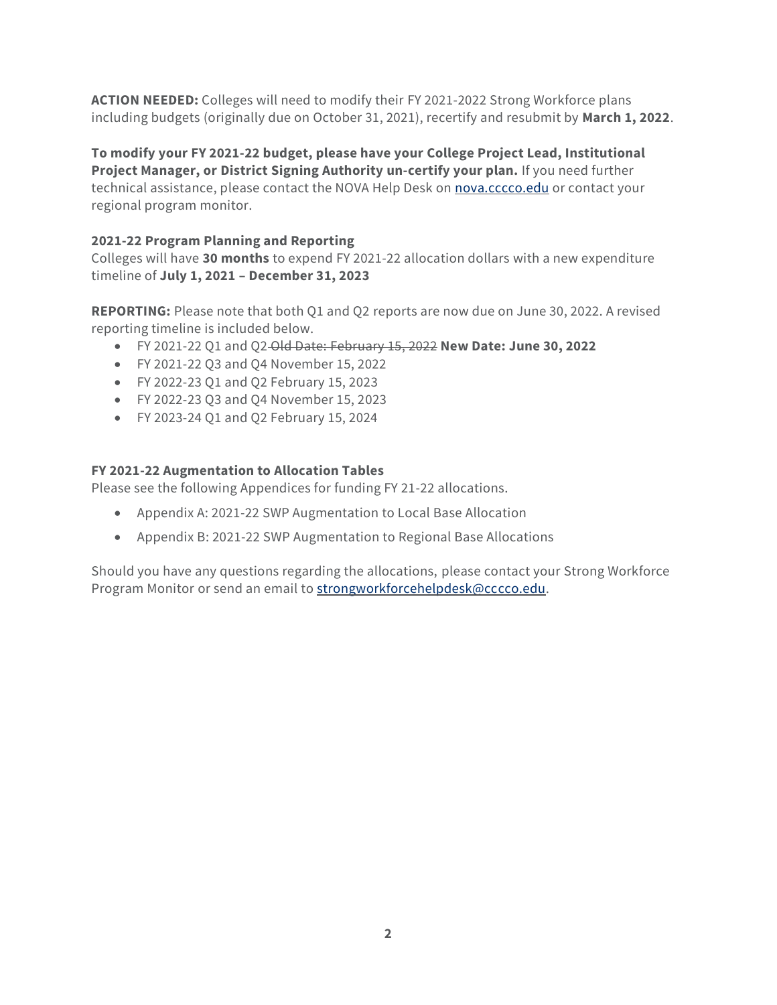**ACTION NEEDED:** Colleges will need to modify their FY 2021-2022 Strong Workforce plans including budgets (originally due on October 31, 2021), recertify and resubmit by **March 1, 2022**.

**To modify your FY 2021-22 budget, please have your College Project Lead, Institutional Project Manager, or District Signing Authority un-certify your plan.** If you need further technical assistance, please contact the NOVA Help Desk on [nova.cccco.edu](https://nova.cccco.edu/) or contact your regional program monitor.

### **2021-22 Program Planning and Reporting**

Colleges will have **30 months** to expend FY 2021-22 allocation dollars with a new expenditure timeline of **July 1, 2021 – December 31, 2023**

**REPORTING:** Please note that both Q1 and Q2 reports are now due on June 30, 2022. A revised reporting timeline is included below.

- FY 2021-22 Q1 and Q2 Old Date: February 15, 2022 **New Date: June 30, 2022**
- FY 2021-22 Q3 and Q4 November 15, 2022
- FY 2022-23 Q1 and Q2 February 15, 2023
- FY 2022-23 Q3 and Q4 November 15, 2023
- FY 2023-24 Q1 and Q2 February 15, 2024

### **FY 2021-22 Augmentation to Allocation Tables**

Please see the following Appendices for funding FY 21-22 allocations.

- Appendix A: 2021-22 SWP Augmentation to Local Base Allocation
- Appendix B: 2021-22 SWP Augmentation to Regional Base Allocations

Should you have any questions regarding the allocations, please contact your Strong Workforce Program Monitor or send an email t[o strongworkforcehelpdesk@cccco.edu.](mailto:strongworkforcehelpdesk@cccco.edu)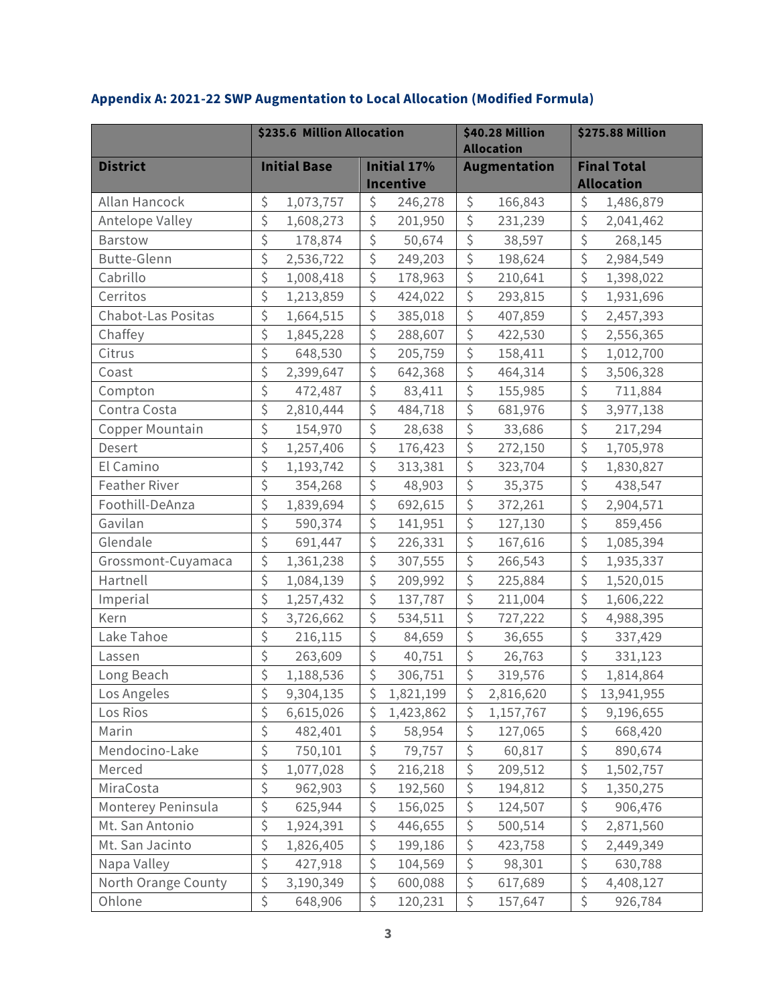|                      | \$235.6 Million Allocation |                  | <b>\$40.28 Million</b><br><b>Allocation</b> | <b>\$275.88 Million</b> |  |
|----------------------|----------------------------|------------------|---------------------------------------------|-------------------------|--|
| <b>District</b>      | <b>Initial Base</b>        | Initial 17%      | <b>Augmentation</b>                         | <b>Final Total</b>      |  |
|                      |                            | <b>Incentive</b> |                                             | <b>Allocation</b>       |  |
| Allan Hancock        | \$                         | \$               | \$                                          | \$                      |  |
|                      | 1,073,757                  | 246,278          | 166,843                                     | 1,486,879               |  |
| Antelope Valley      | \$                         | \$               | \$                                          | $\boldsymbol{\zeta}$    |  |
|                      | 1,608,273                  | 201,950          | 231,239                                     | 2,041,462               |  |
| Barstow              | \$                         | \$               | $\zeta$                                     | $\zeta$                 |  |
|                      | 178,874                    | 50,674           | 38,597                                      | 268,145                 |  |
| <b>Butte-Glenn</b>   | \$                         | \$               | $\boldsymbol{\dot{\varsigma}}$              | \$                      |  |
|                      | 2,536,722                  | 249,203          | 198,624                                     | 2,984,549               |  |
| Cabrillo             | \$                         | \$               | \$                                          | \$                      |  |
|                      | 1,008,418                  | 178,963          | 210,641                                     | 1,398,022               |  |
| Cerritos             | \$                         | \$               | $\boldsymbol{\zeta}$                        | $\boldsymbol{\zeta}$    |  |
|                      | 1,213,859                  | 424,022          | 293,815                                     | 1,931,696               |  |
| Chabot-Las Positas   | \$                         | \$               | \$                                          | \$                      |  |
|                      | 1,664,515                  | 385,018          | 407,859                                     | 2,457,393               |  |
| Chaffey              | \$                         | \$               | $\zeta$                                     | $\boldsymbol{\zeta}$    |  |
|                      | 1,845,228                  | 288,607          | 422,530                                     | 2,556,365               |  |
| Citrus               | \$                         | \$               | $\zeta$                                     | \$                      |  |
|                      | 648,530                    | 205,759          | 158,411                                     | 1,012,700               |  |
| Coast                | \$                         | \$               | \$                                          | $\boldsymbol{\zeta}$    |  |
|                      | 2,399,647                  | 642,368          | 464,314                                     | 3,506,328               |  |
| Compton              | \$                         | \$               | \$                                          | \$                      |  |
|                      | 472,487                    | 83,411           | 155,985                                     | 711,884                 |  |
| Contra Costa         | \$                         | \$               | $\boldsymbol{\zeta}$                        | $\boldsymbol{\zeta}$    |  |
|                      | 2,810,444                  | 484,718          | 681,976                                     | 3,977,138               |  |
| Copper Mountain      | \$                         | \$               | \$                                          | \$                      |  |
|                      | 154,970                    | 28,638           | 33,686                                      | 217,294                 |  |
| Desert               | \$                         | \$               | $\boldsymbol{\zeta}$                        | \$                      |  |
|                      | 1,257,406                  | 176,423          | 272,150                                     | 1,705,978               |  |
| El Camino            | \$                         | \$               | \$                                          | \$                      |  |
|                      | 1,193,742                  | 313,381          | 323,704                                     | 1,830,827               |  |
| <b>Feather River</b> | \$                         | \$               | $\zeta$                                     | \$                      |  |
|                      | 354,268                    | 48,903           | 35,375                                      | 438,547                 |  |
| Foothill-DeAnza      | \$                         | \$               | \$                                          | \$                      |  |
|                      | 1,839,694                  | 692,615          | 372,261                                     | 2,904,571               |  |
| Gavilan              | \$                         | \$               | $\boldsymbol{\zeta}$                        | \$                      |  |
|                      | 590,374                    | 141,951          | 127,130                                     | 859,456                 |  |
| Glendale             | \$                         | \$               | \$                                          | \$                      |  |
|                      | 691,447                    | 226,331          | 167,616                                     | 1,085,394               |  |
| Grossmont-Cuyamaca   | \$                         | \$               | $\boldsymbol{\zeta}$                        | \$                      |  |
|                      | 1,361,238                  | 307,555          | 266,543                                     | 1,935,337               |  |
| Hartnell             | \$                         | \$               | \$                                          | \$                      |  |
|                      | 1,084,139                  | 209,992          | 225,884                                     | 1,520,015               |  |
| Imperial             | \$                         | \$               | $\boldsymbol{\zeta}$                        | \$                      |  |
|                      | 1,257,432                  | 137,787          | 211,004                                     | 1,606,222               |  |
| Kern                 | \$                         | \$               | \$                                          | \$                      |  |
|                      | 3,726,662                  | 534,511          | 727,222                                     | 4,988,395               |  |
| Lake Tahoe           | \$                         | \$               | \$                                          | \$                      |  |
|                      | 216,115                    | 84,659           | 36,655                                      | 337,429                 |  |
| Lassen               | \$                         | \$               | \$                                          | \$                      |  |
|                      | 263,609                    | 40,751           | 26,763                                      | 331,123                 |  |
| Long Beach           | \$                         | \$               | $\boldsymbol{\zeta}$                        | \$                      |  |
|                      | 1,188,536                  | 306,751          | 319,576                                     | 1,814,864               |  |
| Los Angeles          | 9,304,135                  | Ş                | Ş                                           | Ş                       |  |
|                      | Ş                          | 1,821,199        | 2,816,620                                   | 13,941,955              |  |
| Los Rios             | \$                         | \$               | \$                                          | \$                      |  |
|                      | 6,615,026                  | 1,423,862        | 1,157,767                                   | 9,196,655               |  |
| Marin                | \$                         | \$               | \$                                          | \$                      |  |
|                      | 482,401                    | 58,954           | 127,065                                     | 668,420                 |  |
| Mendocino-Lake       | \$                         | \$               | \$                                          | \$                      |  |
|                      | 750,101                    | 79,757           | 60,817                                      | 890,674                 |  |
| Merced               | \$                         | \$               | \$                                          | \$                      |  |
|                      | 1,077,028                  | 216,218          | 209,512                                     | 1,502,757               |  |
| MiraCosta            | \$                         | \$               | \$                                          | \$                      |  |
|                      | 962,903                    | 192,560          | 194,812                                     | 1,350,275               |  |
| Monterey Peninsula   | \$                         | \$               | \$                                          | \$                      |  |
|                      | 625,944                    | 156,025          | 124,507                                     | 906,476                 |  |
| Mt. San Antonio      | \$                         | \$               | \$                                          | \$                      |  |
|                      | 1,924,391                  | 446,655          | 500,514                                     | 2,871,560               |  |
| Mt. San Jacinto      | \$                         | \$               | \$                                          | \$                      |  |
|                      | 1,826,405                  | 199,186          | 423,758                                     | 2,449,349               |  |
| Napa Valley          | \$                         | \$               | \$                                          | \$                      |  |
|                      | 427,918                    | 104,569          | 98,301                                      | 630,788                 |  |
| North Orange County  | \$                         | \$               | \$                                          | \$                      |  |
|                      | 3,190,349                  | 600,088          | 617,689                                     | 4,408,127               |  |
| Ohlone               | \$                         | \$               | \$                                          | \$                      |  |
|                      | 648,906                    | 120,231          | 157,647                                     | 926,784                 |  |

# **Appendix A: 2021-22 SWP Augmentation to Local Allocation (Modified Formula)**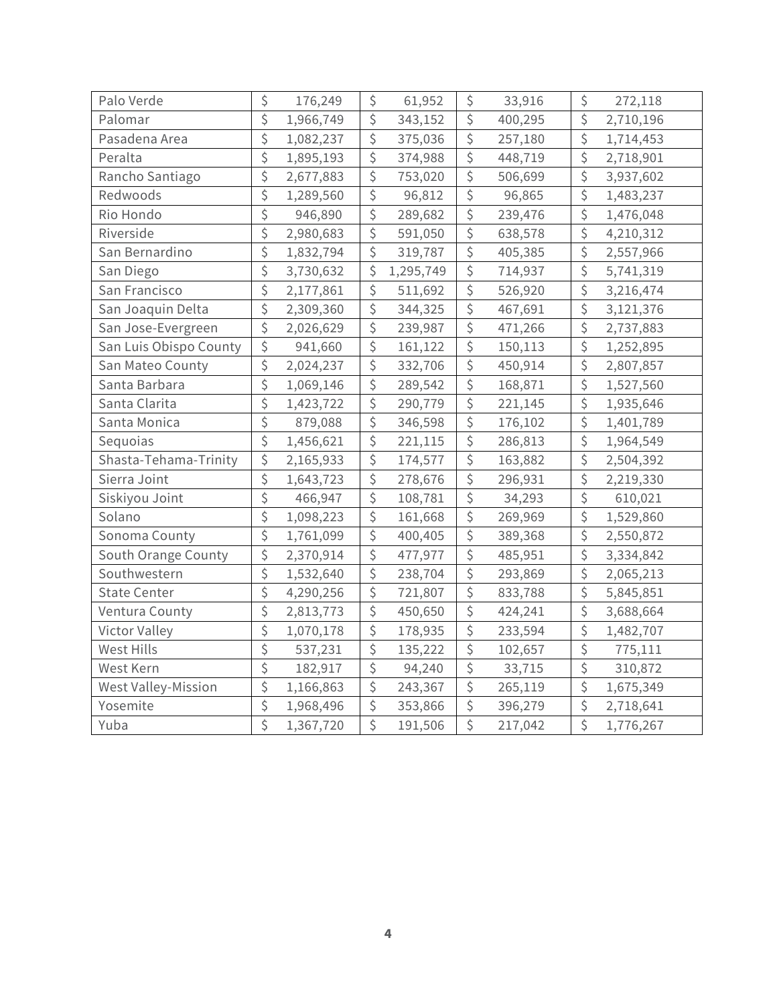| Palo Verde             | \$               | 176,249   | \$                     | 61,952    | \$                   | 33,916  | \$               | 272,118   |
|------------------------|------------------|-----------|------------------------|-----------|----------------------|---------|------------------|-----------|
| Palomar                | \$               | 1,966,749 | \$                     | 343,152   | \$                   | 400,295 | \$               | 2,710,196 |
| Pasadena Area          | \$               | 1,082,237 | \$                     | 375,036   | \$                   | 257,180 | \$               | 1,714,453 |
| Peralta                | \$               | 1,895,193 | \$                     | 374,988   | \$                   | 448,719 | \$               | 2,718,901 |
| Rancho Santiago        | \$               | 2,677,883 | \$                     | 753,020   | \$                   | 506,699 | \$               | 3,937,602 |
| Redwoods               | \$               | 1,289,560 | \$                     | 96,812    | $\boldsymbol{\zeta}$ | 96,865  | \$               | 1,483,237 |
| Rio Hondo              | \$               | 946,890   | \$                     | 289,682   | \$                   | 239,476 | \$               | 1,476,048 |
| Riverside              | \$               | 2,980,683 | $\overline{\varsigma}$ | 591,050   | \$                   | 638,578 | \$               | 4,210,312 |
| San Bernardino         | \$               | 1,832,794 | \$                     | 319,787   | $\boldsymbol{\zeta}$ | 405,385 | \$               | 2,557,966 |
| San Diego              | \$               | 3,730,632 | \$                     | 1,295,749 | \$                   | 714,937 | \$               | 5,741,319 |
| San Francisco          | \$               | 2,177,861 | \$                     | 511,692   | $\boldsymbol{\zeta}$ | 526,920 | \$               | 3,216,474 |
| San Joaquin Delta      | \$               | 2,309,360 | \$                     | 344,325   | \$                   | 467,691 | \$               | 3,121,376 |
| San Jose-Evergreen     | \$               | 2,026,629 | \$                     | 239,987   | \$                   | 471,266 | \$               | 2,737,883 |
| San Luis Obispo County | \$               | 941,660   | \$                     | 161,122   | \$                   | 150,113 | \$               | 1,252,895 |
| San Mateo County       | \$               | 2,024,237 | \$                     | 332,706   | \$                   | 450,914 | \$               | 2,807,857 |
| Santa Barbara          | \$               | 1,069,146 | \$                     | 289,542   | \$                   | 168,871 | \$               | 1,527,560 |
| Santa Clarita          | \$               | 1,423,722 | \$                     | 290,779   | \$                   | 221,145 | \$               | 1,935,646 |
| Santa Monica           | \$               | 879,088   | \$                     | 346,598   | \$                   | 176,102 | \$               | 1,401,789 |
| Sequoias               | \$               | 1,456,621 | \$                     | 221,115   | \$                   | 286,813 | \$               | 1,964,549 |
| Shasta-Tehama-Trinity  | \$               | 2,165,933 | \$                     | 174,577   | $\boldsymbol{\zeta}$ | 163,882 | \$               | 2,504,392 |
| Sierra Joint           | \$               | 1,643,723 | \$                     | 278,676   | \$                   | 296,931 | \$               | 2,219,330 |
| Siskiyou Joint         | \$               | 466,947   | \$                     | 108,781   | \$                   | 34,293  | \$               | 610,021   |
| Solano                 | \$               | 1,098,223 | \$                     | 161,668   | \$                   | 269,969 | \$               | 1,529,860 |
| Sonoma County          | \$               | 1,761,099 | \$                     | 400,405   | \$                   | 389,368 | \$               | 2,550,872 |
| South Orange County    | \$               | 2,370,914 | \$                     | 477,977   | $\boldsymbol{\zeta}$ | 485,951 | \$               | 3,334,842 |
| Southwestern           | \$               | 1,532,640 | \$                     | 238,704   | \$                   | 293,869 | \$               | 2,065,213 |
| <b>State Center</b>    | \$               | 4,290,256 | \$                     | 721,807   | \$                   | 833,788 | \$               | 5,845,851 |
| Ventura County         | \$               | 2,813,773 | \$                     | 450,650   | \$                   | 424,241 | \$               | 3,688,664 |
| Victor Valley          | \$               | 1,070,178 | \$                     | 178,935   | \$                   | 233,594 | \$               | 1,482,707 |
| West Hills             | \$               | 537,231   | \$                     | 135,222   | \$                   | 102,657 | \$               | 775,111   |
| West Kern              | \$               | 182,917   | \$                     | 94,240    | \$                   | 33,715  | \$               | 310,872   |
| West Valley-Mission    | \$               | 1,166,863 | \$                     | 243,367   | \$                   | 265,119 | \$               | 1,675,349 |
| Yosemite               | \$               | 1,968,496 | \$                     | 353,866   | \$                   | 396,279 | \$               | 2,718,641 |
| Yuba                   | $\overline{\xi}$ | 1,367,720 | \$                     | 191,506   | \$                   | 217,042 | $\overline{\xi}$ | 1,776,267 |